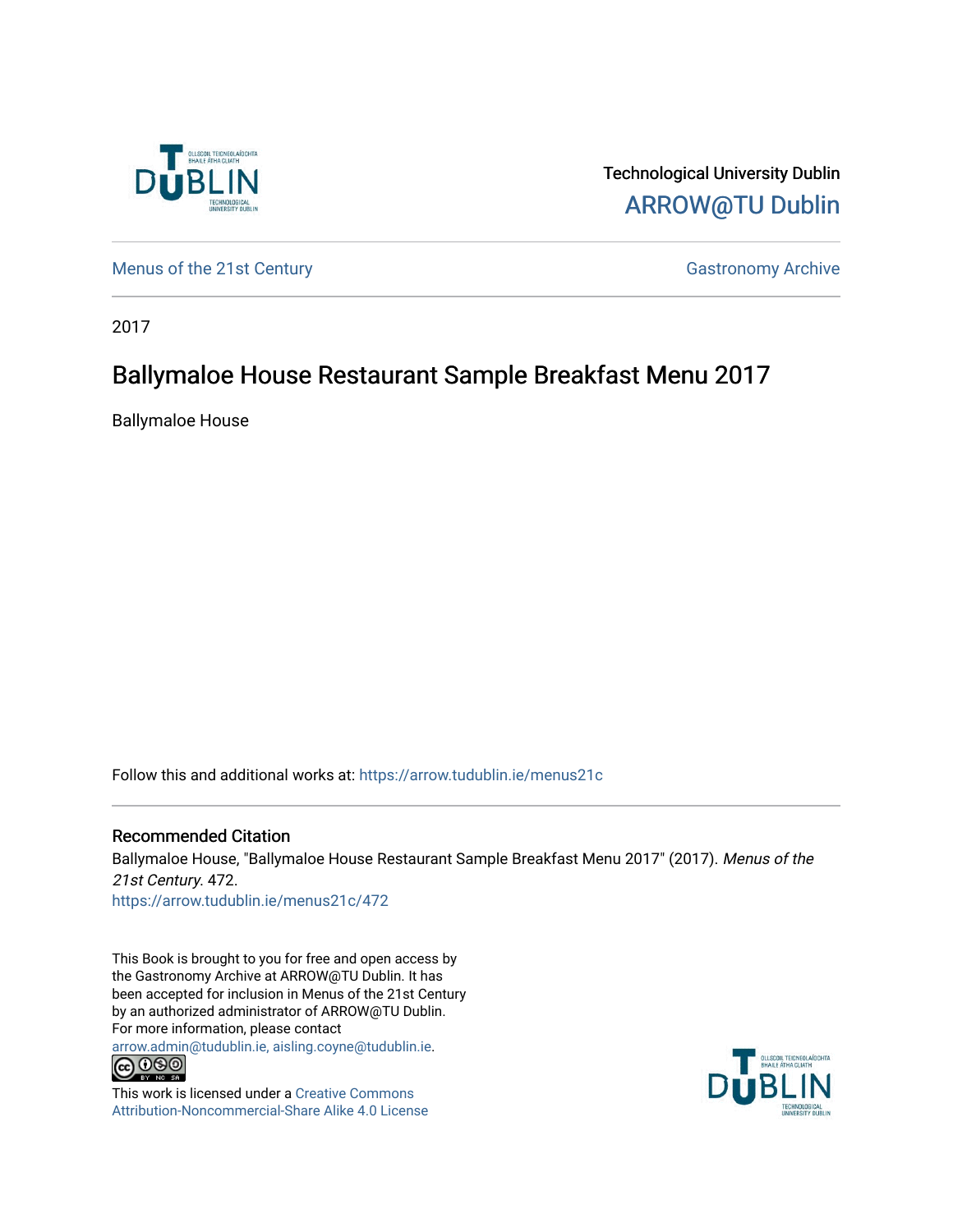

Technological University Dublin [ARROW@TU Dublin](https://arrow.tudublin.ie/) 

[Menus of the 21st Century](https://arrow.tudublin.ie/menus21c) Gastronomy Archive

2017

## Ballymaloe House Restaurant Sample Breakfast Menu 2017

Ballymaloe House

Follow this and additional works at: [https://arrow.tudublin.ie/menus21c](https://arrow.tudublin.ie/menus21c?utm_source=arrow.tudublin.ie%2Fmenus21c%2F472&utm_medium=PDF&utm_campaign=PDFCoverPages) 

Recommended Citation Ballymaloe House, "Ballymaloe House Restaurant Sample Breakfast Menu 2017" (2017). Menus of the 21st Century. 472. [https://arrow.tudublin.ie/menus21c/472](https://arrow.tudublin.ie/menus21c/472?utm_source=arrow.tudublin.ie%2Fmenus21c%2F472&utm_medium=PDF&utm_campaign=PDFCoverPages) 

This Book is brought to you for free and open access by the Gastronomy Archive at ARROW@TU Dublin. It has been accepted for inclusion in Menus of the 21st Century by an authorized administrator of ARROW@TU Dublin. For more information, please contact

[arrow.admin@tudublin.ie, aisling.coyne@tudublin.ie](mailto:arrow.admin@tudublin.ie,%20aisling.coyne@tudublin.ie).<br>COOO



This work is licensed under a [Creative Commons](http://creativecommons.org/licenses/by-nc-sa/4.0/) [Attribution-Noncommercial-Share Alike 4.0 License](http://creativecommons.org/licenses/by-nc-sa/4.0/)

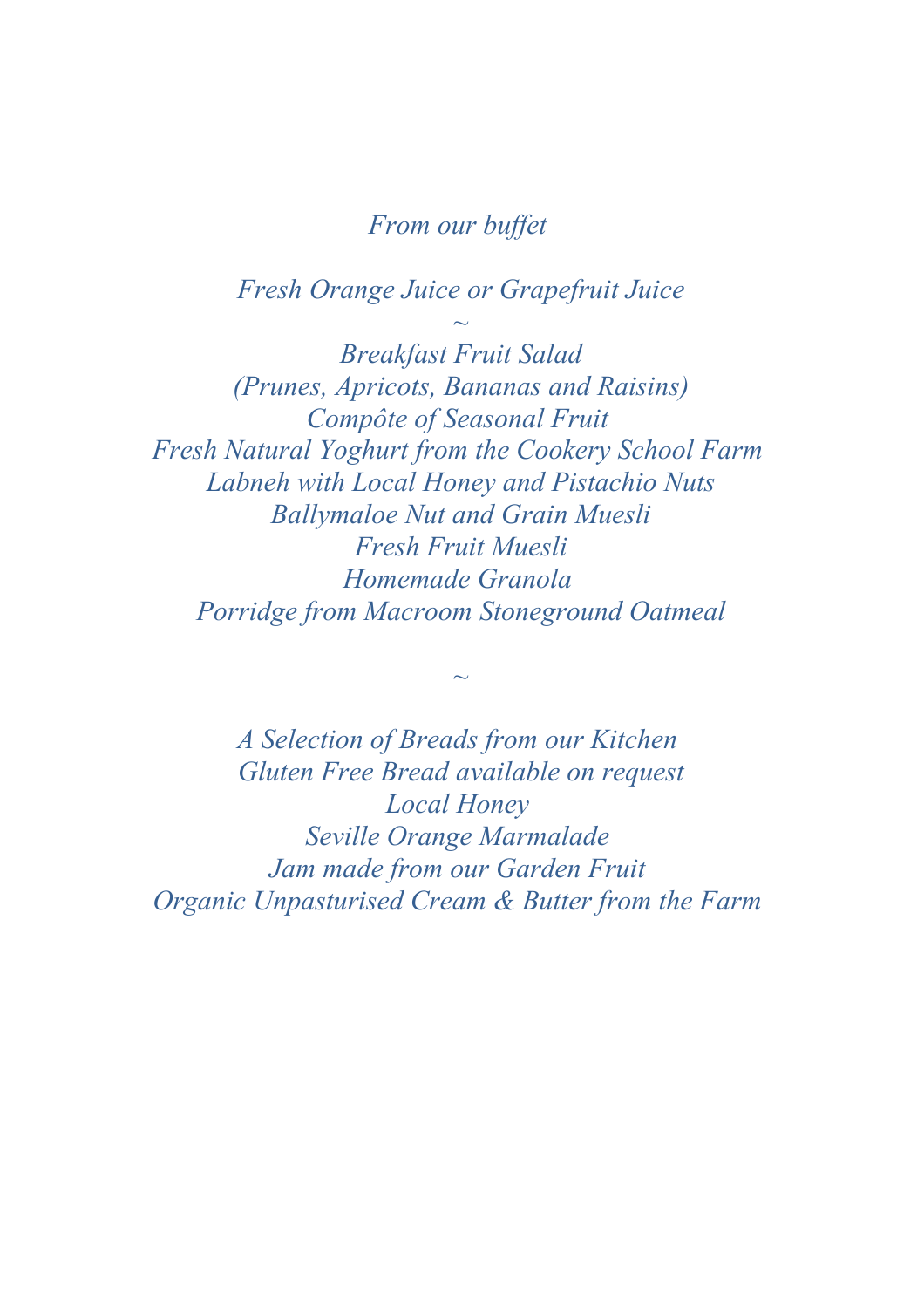## *From our buffet*

*Fresh Orange Juice or Grapefruit Juice*

*~*

*Breakfast Fruit Salad (Prunes, Apricots, Bananas and Raisins) Compôte of Seasonal Fruit Fresh Natural Yoghurt from the Cookery School Farm Labneh with Local Honey and Pistachio Nuts Ballymaloe Nut and Grain Muesli Fresh Fruit Muesli Homemade Granola Porridge from Macroom Stoneground Oatmeal*

*A Selection of Breads from our Kitchen Gluten Free Bread available on request Local Honey Seville Orange Marmalade Jam made from our Garden Fruit Organic Unpasturised Cream & Butter from the Farm* 

*~*